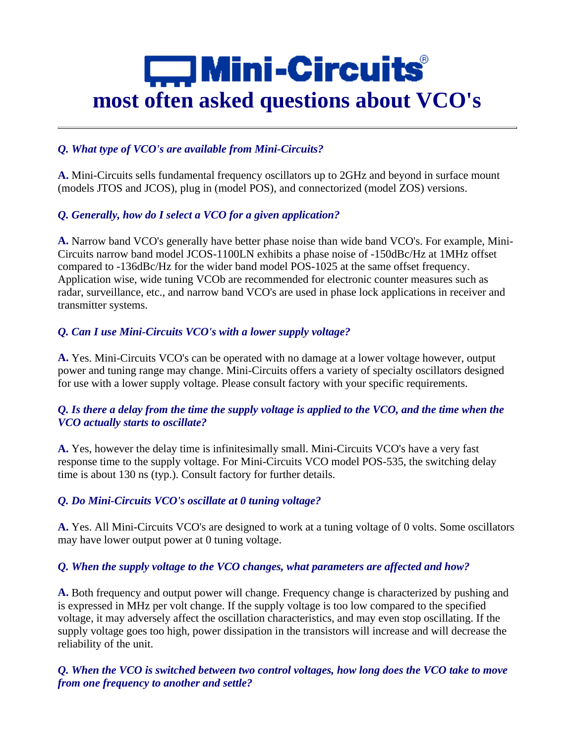# $\Box$  Mini-Circuits **most often asked questions about VCO's**

# *Q. What type of VCO's are available from Mini-Circuits?*

**A.** Mini-Circuits sells fundamental frequency oscillators up to 2GHz and beyond in surface mount (models JTOS and JCOS), plug in (model POS), and connectorized (model ZOS) versions.

# *Q. Generally, how do I select a VCO for a given application?*

**A.** Narrow band VCO's generally have better phase noise than wide band VCO's. For example, Mini-Circuits narrow band model JCOS-1100LN exhibits a phase noise of -150dBc/Hz at 1MHz offset compared to -136dBc/Hz for the wider band model POS-1025 at the same offset frequency. Application wise, wide tuning VCOb are recommended for electronic counter measures such as radar, surveillance, etc., and narrow band VCO's are used in phase lock applications in receiver and transmitter systems.

# *Q. Can I use Mini-Circuits VCO's with a lower supply voltage?*

**A.** Yes. Mini-Circuits VCO's can be operated with no damage at a lower voltage however, output power and tuning range may change. Mini-Circuits offers a variety of specialty oscillators designed for use with a lower supply voltage. Please consult factory with your specific requirements.

# *Q. Is there a delay from the time the supply voltage is applied to the VCO, and the time when the VCO actually starts to oscillate?*

**A.** Yes, however the delay time is infinitesimally small. Mini-Circuits VCO's have a very fast response time to the supply voltage. For Mini-Circuits VCO model POS-535, the switching delay time is about 130 ns (typ.). Consult factory for further details.

# *Q. Do Mini-Circuits VCO's oscillate at 0 tuning voltage?*

**A.** Yes. All Mini-Circuits VCO's are designed to work at a tuning voltage of 0 volts. Some oscillators may have lower output power at 0 tuning voltage.

# *Q. When the supply voltage to the VCO changes, what parameters are affected and how?*

**A.** Both frequency and output power will change. Frequency change is characterized by pushing and is expressed in MHz per volt change. If the supply voltage is too low compared to the specified voltage, it may adversely affect the oscillation characteristics, and may even stop oscillating. If the supply voltage goes too high, power dissipation in the transistors will increase and will decrease the reliability of the unit.

# *Q. When the VCO is switched between two control voltages, how long does the VCO take to move from one frequency to another and settle?*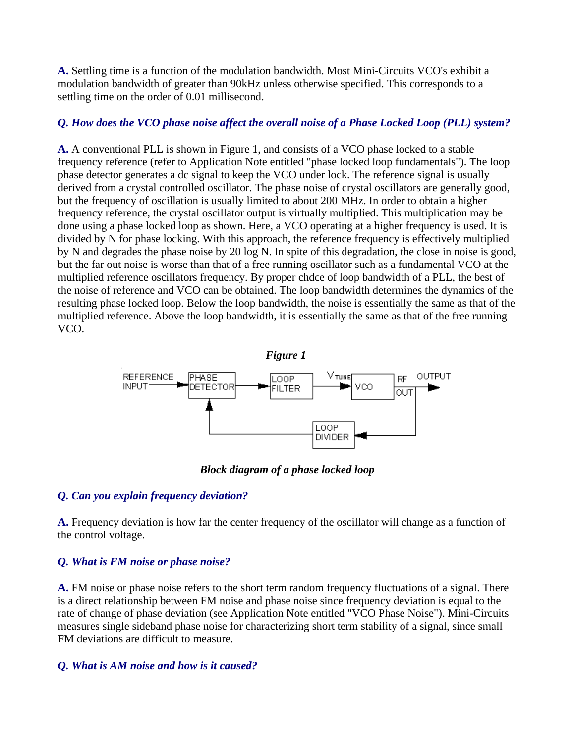**A.** Settling time is a function of the modulation bandwidth. Most Mini-Circuits VCO's exhibit a modulation bandwidth of greater than 90kHz unless otherwise specified. This corresponds to a settling time on the order of 0.01 millisecond.

### *Q. How does the VCO phase noise affect the overall noise of a Phase Locked Loop (PLL) system?*

**A.** A conventional PLL is shown in Figure 1, and consists of a VCO phase locked to a stable frequency reference (refer to Application Note entitled "phase locked loop fundamentals"). The loop phase detector generates a dc signal to keep the VCO under lock. The reference signal is usually derived from a crystal controlled oscillator. The phase noise of crystal oscillators are generally good, but the frequency of oscillation is usually limited to about 200 MHz. In order to obtain a higher frequency reference, the crystal oscillator output is virtually multiplied. This multiplication may be done using a phase locked loop as shown. Here, a VCO operating at a higher frequency is used. It is divided by N for phase locking. With this approach, the reference frequency is effectively multiplied by N and degrades the phase noise by 20 log N. In spite of this degradation, the close in noise is good, but the far out noise is worse than that of a free running oscillator such as a fundamental VCO at the multiplied reference oscillators frequency. By proper chdce of loop bandwidth of a PLL, the best of the noise of reference and VCO can be obtained. The loop bandwidth determines the dynamics of the resulting phase locked loop. Below the loop bandwidth, the noise is essentially the same as that of the multiplied reference. Above the loop bandwidth, it is essentially the same as that of the free running VCO.



*Block diagram of a phase locked loop*

## *Q. Can you explain frequency deviation?*

**A.** Frequency deviation is how far the center frequency of the oscillator will change as a function of the control voltage.

## *Q. What is FM noise or phase noise?*

**A.** FM noise or phase noise refers to the short term random frequency fluctuations of a signal. There is a direct relationship between FM noise and phase noise since frequency deviation is equal to the rate of change of phase deviation (see Application Note entitled "VCO Phase Noise"). Mini-Circuits measures single sideband phase noise for characterizing short term stability of a signal, since small FM deviations are difficult to measure.

## *Q. What is AM noise and how is it caused?*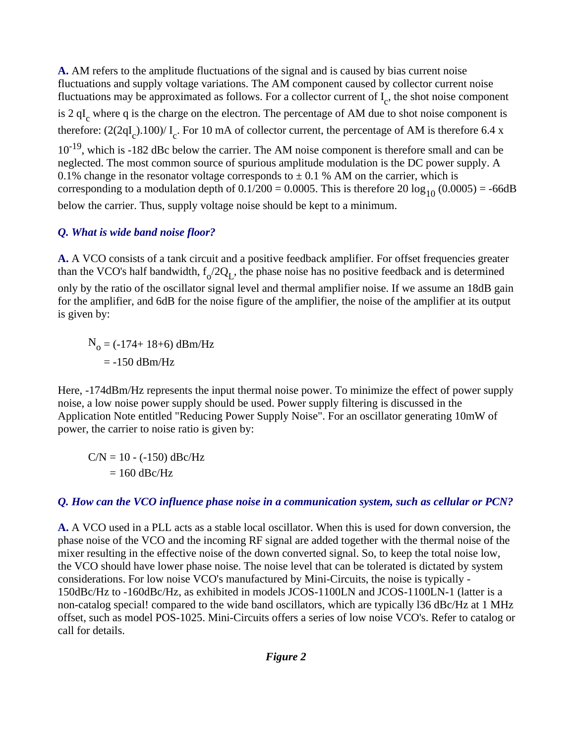**A.** AM refers to the amplitude fluctuations of the signal and is caused by bias current noise fluctuations and supply voltage variations. The AM component caused by collector current noise fluctuations may be approximated as follows. For a collector current of  $I_c$ , the shot noise component is 2  $qI_c$  where q is the charge on the electron. The percentage of AM due to shot noise component is therefore:  $(2(2qI_c).100)/I_c$ . For 10 mA of collector current, the percentage of AM is therefore 6.4 x  $10^{-19}$ , which is -182 dBc below the carrier. The AM noise component is therefore small and can be neglected. The most common source of spurious amplitude modulation is the DC power supply. A 0.1% change in the resonator voltage corresponds to  $\pm$  0.1 % AM on the carrier, which is corresponding to a modulation depth of  $0.1/200 = 0.0005$ . This is therefore  $20 \log_{10} (0.0005) = -66$ dB

below the carrier. Thus, supply voltage noise should be kept to a minimum.

# *Q. What is wide band noise floor?*

**A.** A VCO consists of a tank circuit and a positive feedback amplifier. For offset frequencies greater than the VCO's half bandwidth,  $f_0/2Q_L$ , the phase noise has no positive feedback and is determined only by the ratio of the oscillator signal level and thermal amplifier noise. If we assume an 18dB gain for the amplifier, and 6dB for the noise figure of the amplifier, the noise of the amplifier at its output is given by:

 $N_{o} = (-174 + 18 + 6)$  dBm/Hz  $= -150$  dBm/Hz

Here, -174dBm/Hz represents the input thermal noise power. To minimize the effect of power supply noise, a low noise power supply should be used. Power supply filtering is discussed in the Application Note entitled "Reducing Power Supply Noise". For an oscillator generating 10mW of power, the carrier to noise ratio is given by:

 $CN = 10 - (-150)$  dBc/Hz  $= 160$  dBc/Hz

# *Q. How can the VCO influence phase noise in a communication system, such as cellular or PCN?*

**A.** A VCO used in a PLL acts as a stable local oscillator. When this is used for down conversion, the phase noise of the VCO and the incoming RF signal are added together with the thermal noise of the mixer resulting in the effective noise of the down converted signal. So, to keep the total noise low, the VCO should have lower phase noise. The noise level that can be tolerated is dictated by system considerations. For low noise VCO's manufactured by Mini-Circuits, the noise is typically - 150dBc/Hz to -160dBc/Hz, as exhibited in models JCOS-1100LN and JCOS-1100LN-1 (latter is a non-catalog special! compared to the wide band oscillators, which are typically l36 dBc/Hz at 1 MHz offset, such as model POS-1025. Mini-Circuits offers a series of low noise VCO's. Refer to catalog or call for details.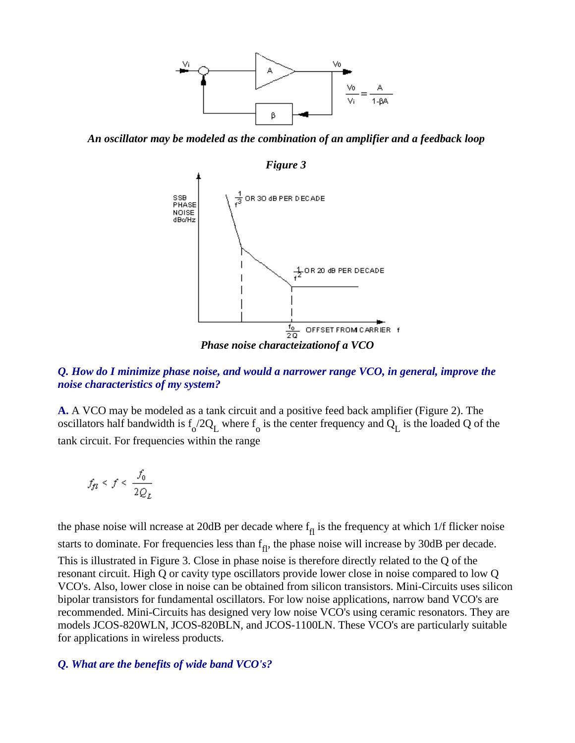

*An oscillator may be modeled as the combination of an amplifier and a feedback loop* 



## *Q. How do I minimize phase noise, and would a narrower range VCO, in general, improve the noise characteristics of my system?*

**A.** A VCO may be modeled as a tank circuit and a positive feed back amplifier (Figure 2). The oscillators half bandwidth is  $f_0/2Q_L$  where  $f_0$  is the center frequency and  $Q_L$  is the loaded Q of the tank circuit. For frequencies within the range

$$
f_{\!\mathit{fl}}\leq f\leq \frac{f_0}{2Q_L}
$$

the phase noise will ncrease at 20dB per decade where  $f_{\text{fl}}$  is the frequency at which 1/f flicker noise starts to dominate. For frequencies less than  $f_{\text{fl}}$ , the phase noise will increase by 30dB per decade. This is illustrated in Figure 3. Close in phase noise is therefore directly related to the Q of the resonant circuit. High Q or cavity type oscillators provide lower close in noise compared to low Q VCO's. Also, lower close in noise can be obtained from silicon transistors. Mini-Circuits uses silicon bipolar transistors for fundamental oscillators. For low noise applications, narrow band VCO's are recommended. Mini-Circuits has designed very low noise VCO's using ceramic resonators. They are models JCOS-820WLN, JCOS-820BLN, and JCOS-1100LN. These VCO's are particularly suitable for applications in wireless products.

#### *Q. What are the benefits of wide band VCO's?*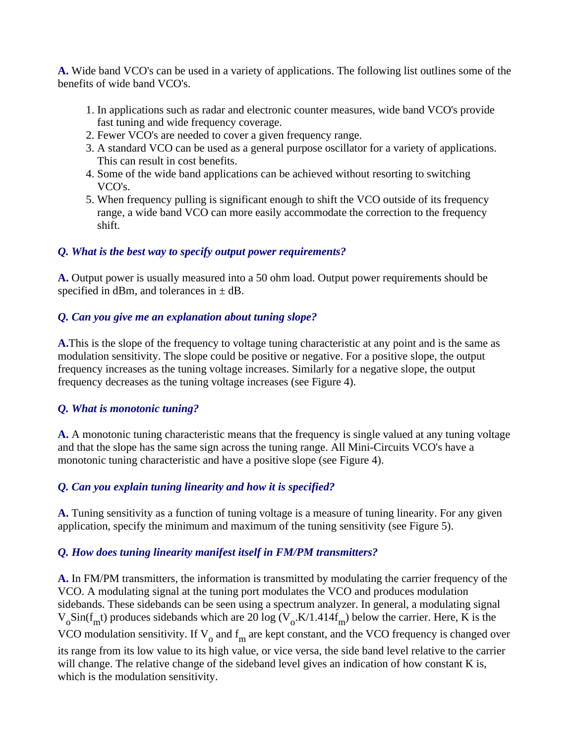**A.** Wide band VCO's can be used in a variety of applications. The following list outlines some of the benefits of wide band VCO's.

- 1. In applications such as radar and electronic counter measures, wide band VCO's provide fast tuning and wide frequency coverage.
- 2. Fewer VCO's are needed to cover a given frequency range.
- 3. A standard VCO can be used as a general purpose oscillator for a variety of applications. This can result in cost benefits.
- 4. Some of the wide band applications can be achieved without resorting to switching VCO's.
- 5. When frequency pulling is significant enough to shift the VCO outside of its frequency range, a wide band VCO can more easily accommodate the correction to the frequency shift.

# *Q. What is the best way to specify output power requirements?*

**A.** Output power is usually measured into a 50 ohm load. Output power requirements should be specified in dBm, and tolerances in  $\pm$  dB.

# *Q. Can you give me an explanation about tuning slope?*

**A.**This is the slope of the frequency to voltage tuning characteristic at any point and is the same as modulation sensitivity. The slope could be positive or negative. For a positive slope, the output frequency increases as the tuning voltage increases. Similarly for a negative slope, the output frequency decreases as the tuning voltage increases (see Figure 4).

# *Q. What is monotonic tuning?*

**A.** A monotonic tuning characteristic means that the frequency is single valued at any tuning voltage and that the slope has the same sign across the tuning range. All Mini-Circuits VCO's have a monotonic tuning characteristic and have a positive slope (see Figure 4).

# *Q. Can you explain tuning linearity and how it is specified?*

**A.** Tuning sensitivity as a function of tuning voltage is a measure of tuning linearity. For any given application, specify the minimum and maximum of the tuning sensitivity (see Figure 5).

# *Q. How does tuning linearity manifest itself in FM/PM transmitters?*

**A.** In FM/PM transmitters, the information is transmitted by modulating the carrier frequency of the VCO. A modulating signal at the tuning port modulates the VCO and produces modulation sidebands. These sidebands can be seen using a spectrum analyzer. In general, a modulating signal  $V_o$ Sin(f<sub>m</sub>t) produces sidebands which are 20 log ( $V_o$ .K/1.414f<sub>m</sub>) below the carrier. Here, K is the VCO modulation sensitivity. If  $V_0$  and  $f_m$  are kept constant, and the VCO frequency is changed over its range from its low value to its high value, or vice versa, the side band level relative to the carrier will change. The relative change of the sideband level gives an indication of how constant K is, which is the modulation sensitivity.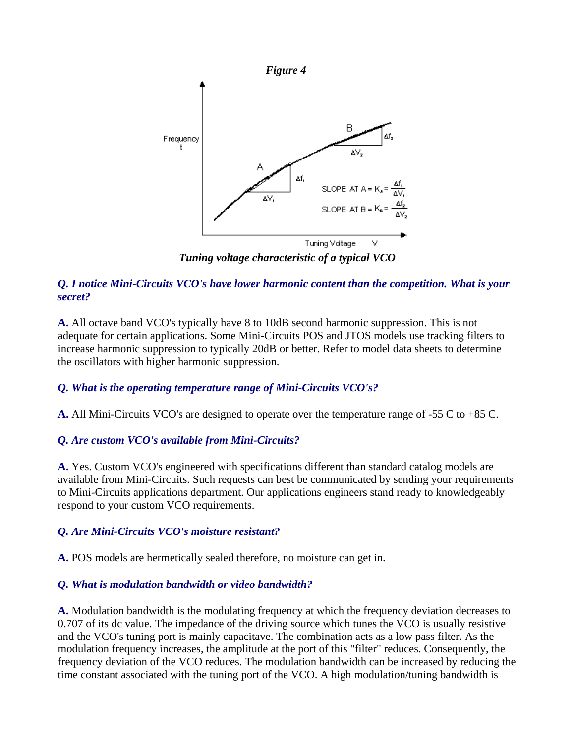

*Tuning voltage characteristic of a typical VCO*

# *Q. I notice Mini-Circuits VCO's have lower harmonic content than the competition. What is your secret?*

**A.** All octave band VCO's typically have 8 to 10dB second harmonic suppression. This is not adequate for certain applications. Some Mini-Circuits POS and JTOS models use tracking filters to increase harmonic suppression to typically 20dB or better. Refer to model data sheets to determine the oscillators with higher harmonic suppression.

# *Q. What is the operating temperature range of Mini-Circuits VCO's?*

**A.** All Mini-Circuits VCO's are designed to operate over the temperature range of -55 C to +85 C.

## *Q. Are custom VCO's available from Mini-Circuits?*

**A.** Yes. Custom VCO's engineered with specifications different than standard catalog models are available from Mini-Circuits. Such requests can best be communicated by sending your requirements to Mini-Circuits applications department. Our applications engineers stand ready to knowledgeably respond to your custom VCO requirements.

## *Q. Are Mini-Circuits VCO's moisture resistant?*

**A.** POS models are hermetically sealed therefore, no moisture can get in.

## *Q. What is modulation bandwidth or video bandwidth?*

**A.** Modulation bandwidth is the modulating frequency at which the frequency deviation decreases to 0.707 of its dc value. The impedance of the driving source which tunes the VCO is usually resistive and the VCO's tuning port is mainly capacitave. The combination acts as a low pass filter. As the modulation frequency increases, the amplitude at the port of this "filter" reduces. Consequently, the frequency deviation of the VCO reduces. The modulation bandwidth can be increased by reducing the time constant associated with the tuning port of the VCO. A high modulation/tuning bandwidth is